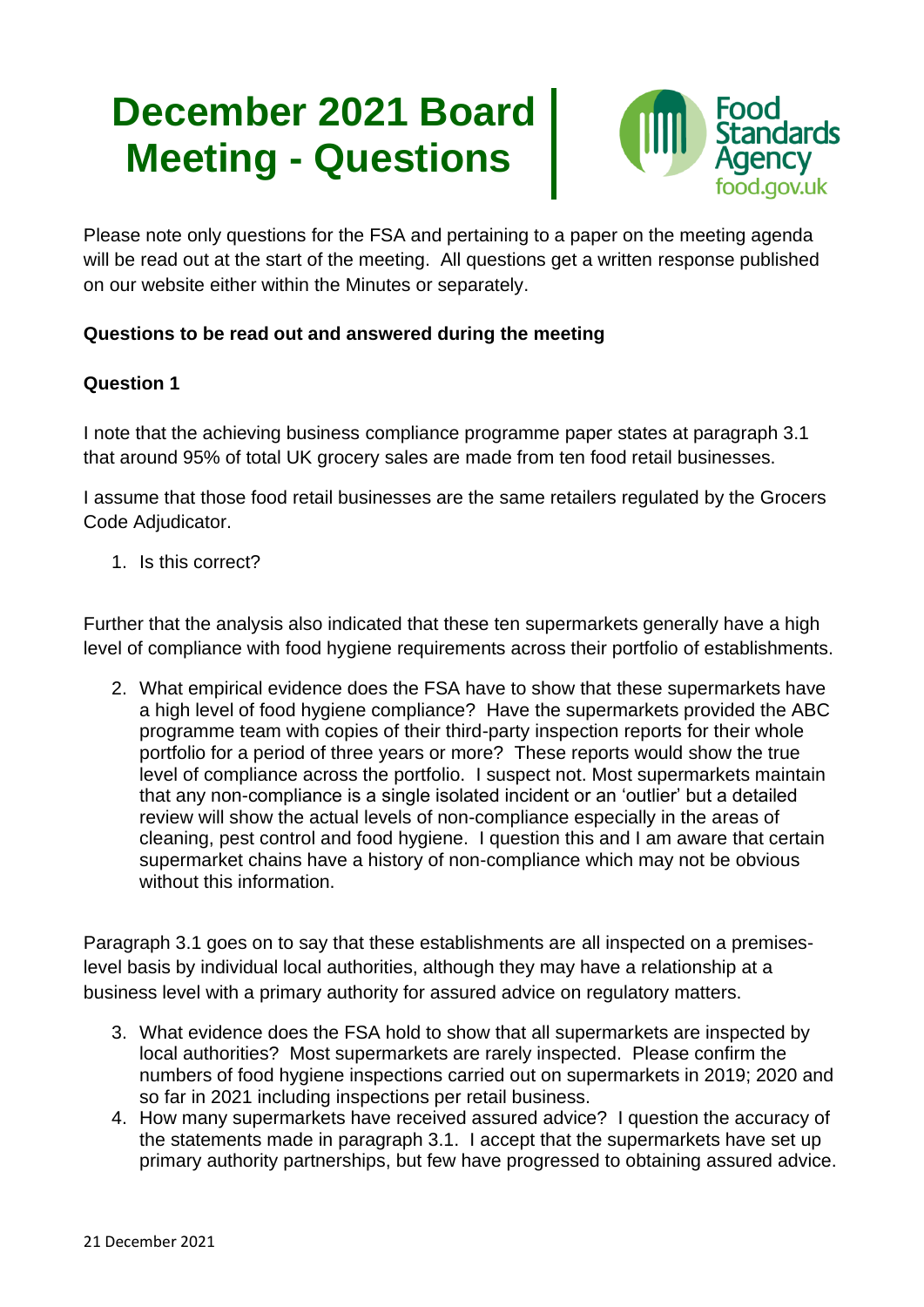# **December 2021 Board Meeting - Questions**



Please note only questions for the FSA and pertaining to a paper on the meeting agenda will be read out at the start of the meeting. All questions get a written response published on our website either within the Minutes or separately.

## **Questions to be read out and answered during the meeting**

## **Question 1**

I note that the achieving business compliance programme paper states at paragraph 3.1 that around 95% of total UK grocery sales are made from ten food retail businesses.

I assume that those food retail businesses are the same retailers regulated by the Grocers Code Adjudicator.

1. Is this correct?

Further that the analysis also indicated that these ten supermarkets generally have a high level of compliance with food hygiene requirements across their portfolio of establishments.

2. What empirical evidence does the FSA have to show that these supermarkets have a high level of food hygiene compliance? Have the supermarkets provided the ABC programme team with copies of their third-party inspection reports for their whole portfolio for a period of three years or more? These reports would show the true level of compliance across the portfolio. I suspect not. Most supermarkets maintain that any non-compliance is a single isolated incident or an 'outlier' but a detailed review will show the actual levels of non-compliance especially in the areas of cleaning, pest control and food hygiene. I question this and I am aware that certain supermarket chains have a history of non-compliance which may not be obvious without this information.

Paragraph 3.1 goes on to say that these establishments are all inspected on a premiseslevel basis by individual local authorities, although they may have a relationship at a business level with a primary authority for assured advice on regulatory matters.

- 3. What evidence does the FSA hold to show that all supermarkets are inspected by local authorities? Most supermarkets are rarely inspected. Please confirm the numbers of food hygiene inspections carried out on supermarkets in 2019; 2020 and so far in 2021 including inspections per retail business.
- 4. How many supermarkets have received assured advice? I question the accuracy of the statements made in paragraph 3.1. I accept that the supermarkets have set up primary authority partnerships, but few have progressed to obtaining assured advice.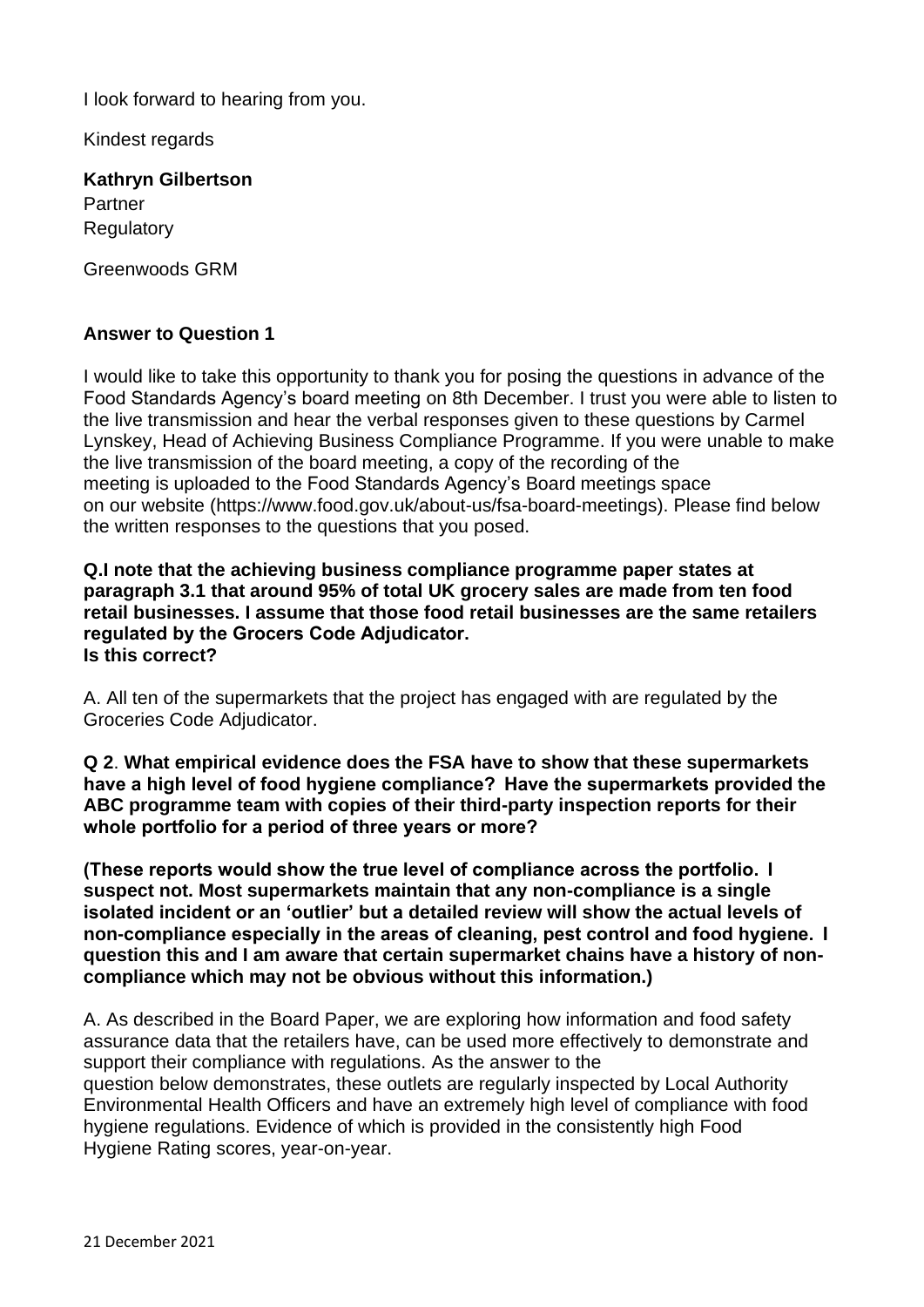I look forward to hearing from you.

Kindest regards

**Kathryn Gilbertson** Partner Regulatory

Greenwoods GRM

### **Answer to Question 1**

I would like to take this opportunity to thank you for posing the questions in advance of the Food Standards Agency's board meeting on 8th December. I trust you were able to listen to the live transmission and hear the verbal responses given to these questions by Carmel Lynskey, Head of Achieving Business Compliance Programme. If you were unable to make the live transmission of the board meeting, a copy of the recording of the meeting is uploaded to the Food Standards Agency's Board meetings space on our website [\(https://www.food.gov.uk/about-us/fsa-board-meetings\).](https://www.food.gov.uk/about-us/fsa-board-meetings).) Please find below the written responses to the questions that you posed.

**Q.I note that the achieving business compliance programme paper states at paragraph 3.1 that around 95% of total UK grocery sales are made from ten food retail businesses. I assume that those food retail businesses are the same retailers regulated by the Grocers Code Adjudicator.  Is this correct?**

A. All ten of the supermarkets that the project has engaged with are regulated by the Groceries Code Adjudicator.

**Q 2**. **What empirical evidence does the FSA have to show that these supermarkets have a high level of food hygiene compliance?  Have the supermarkets provided the ABC programme team with copies of their third-party inspection reports for their whole portfolio for a period of three years or more?**

**(These reports would show the true level of compliance across the portfolio.  I suspect not. Most supermarkets maintain that any non-compliance is a single isolated incident or an 'outlier' but a detailed review will show the actual levels of non-compliance especially in the areas of cleaning, pest control and food hygiene.  I question this and I am aware that certain supermarket chains have a history of noncompliance which may not be obvious without this information.)**

A. As described in the Board Paper, we are exploring how information and food safety assurance data that the retailers have, can be used more effectively to demonstrate and support their compliance with regulations. As the answer to the question below demonstrates, these outlets are regularly inspected by Local Authority Environmental Health Officers and have an extremely high level of compliance with food hygiene regulations. Evidence of which is provided in the consistently high Food Hygiene Rating scores, year-on-year.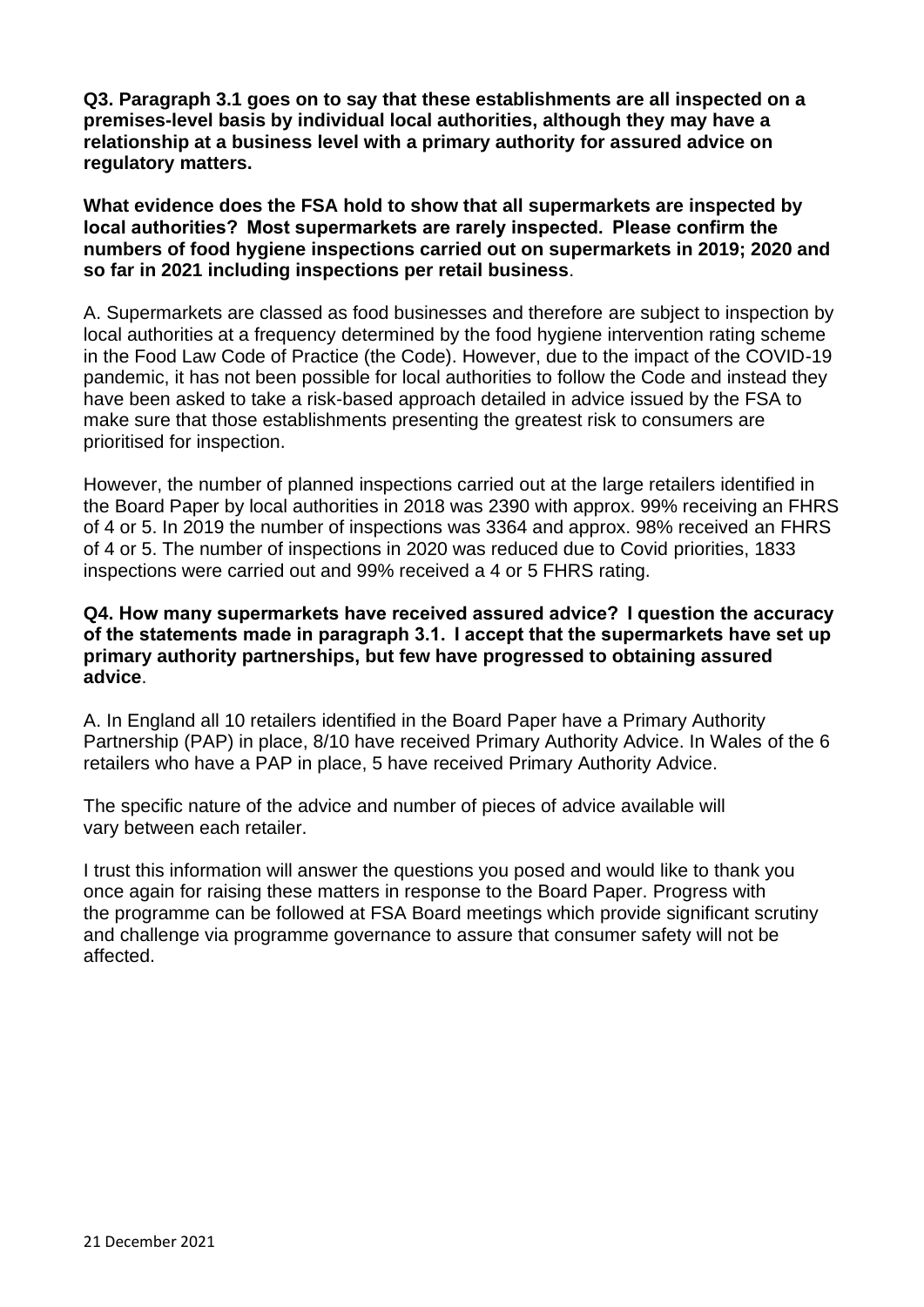**Q3. Paragraph 3.1 goes on to say that these establishments are all inspected on a premises-level basis by individual local authorities, although they may have a relationship at a business level with a primary authority for assured advice on regulatory matters.**

**What evidence does the FSA hold to show that all supermarkets are inspected by local authorities?  Most supermarkets are rarely inspected.  Please confirm the numbers of food hygiene inspections carried out on supermarkets in 2019; 2020 and so far in 2021 including inspections per retail business**.

A. Supermarkets are classed as food businesses and therefore are subject to inspection by local authorities at a frequency determined by the food hygiene intervention rating scheme in the Food Law Code of Practice (the Code). However, due to the impact of the COVID-19 pandemic, it has not been possible for local authorities to follow the Code and instead they have been asked to take a risk-based approach detailed in advice issued by the FSA to make sure that those establishments presenting the greatest risk to consumers are prioritised for inspection.

However, the number of planned inspections carried out at the large retailers identified in the Board Paper by local authorities in 2018 was 2390 with approx. 99% receiving an FHRS of 4 or 5. In 2019 the number of inspections was 3364 and approx. 98% received an FHRS of 4 or 5. The number of inspections in 2020 was reduced due to Covid priorities, 1833 inspections were carried out and 99% received a 4 or 5 FHRS rating.

#### **Q4. How many supermarkets have received assured advice?  I question the accuracy of the statements made in paragraph 3.1.  I accept that the supermarkets have set up primary authority partnerships, but few have progressed to obtaining assured advice**.

A. In England all 10 retailers identified in the Board Paper have a Primary Authority Partnership (PAP) in place, 8/10 have received Primary Authority Advice. In Wales of the 6 retailers who have a PAP in place, 5 have received Primary Authority Advice.

The specific nature of the advice and number of pieces of advice available will vary between each retailer.

I trust this information will answer the questions you posed and would like to thank you once again for raising these matters in response to the Board Paper. Progress with the programme can be followed at FSA Board meetings which provide significant scrutiny and challenge via programme governance to assure that consumer safety will not be affected.